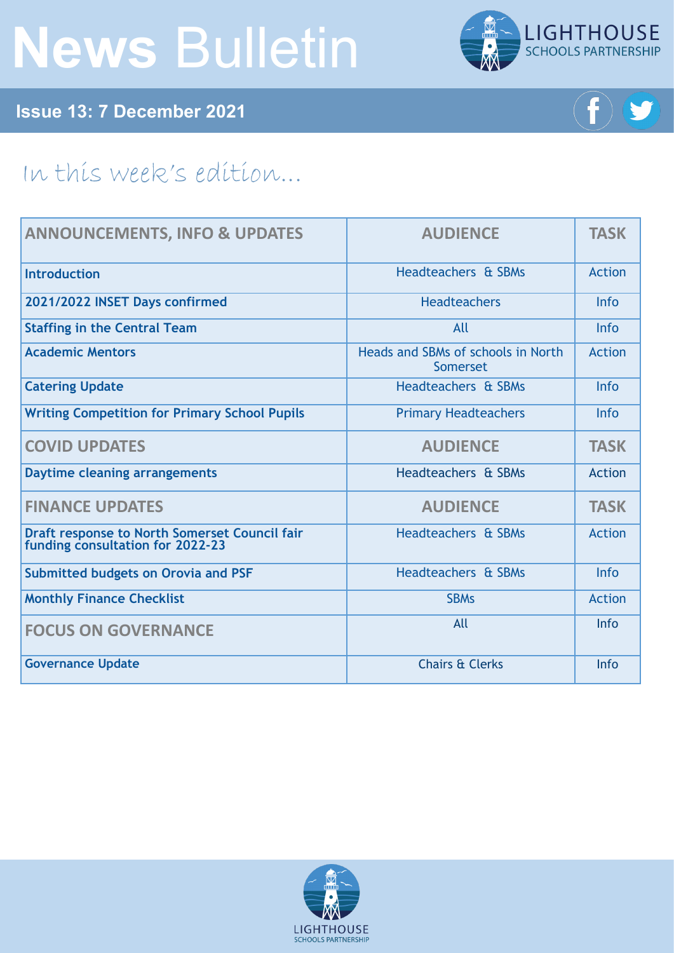# **News** Bulletin



**Issue 13: 7 December 2021**

# f

# In this week's edition...

| <b>ANNOUNCEMENTS, INFO &amp; UPDATES</b>                                          | <b>AUDIENCE</b>                                | <b>TASK</b>   |
|-----------------------------------------------------------------------------------|------------------------------------------------|---------------|
| <b>Introduction</b>                                                               | Headteachers & SBMs                            | Action        |
| 2021/2022 INSET Days confirmed                                                    | <b>Headteachers</b>                            | <b>Info</b>   |
| <b>Staffing in the Central Team</b>                                               | All                                            | <b>Info</b>   |
| <b>Academic Mentors</b>                                                           | Heads and SBMs of schools in North<br>Somerset | <b>Action</b> |
| <b>Catering Update</b>                                                            | Headteachers & SBMs                            | <b>Info</b>   |
| <b>Writing Competition for Primary School Pupils</b>                              | <b>Primary Headteachers</b>                    | <b>Info</b>   |
| <b>COVID UPDATES</b>                                                              | <b>AUDIENCE</b>                                | <b>TASK</b>   |
| <b>Daytime cleaning arrangements</b>                                              | Headteachers & SBMs                            | <b>Action</b> |
| <b>FINANCE UPDATES</b>                                                            | <b>AUDIENCE</b>                                | <b>TASK</b>   |
| Draft response to North Somerset Council fair<br>funding consultation for 2022-23 | <b>Headteachers &amp; SBMs</b>                 | <b>Action</b> |
| <b>Submitted budgets on Orovia and PSF</b>                                        | Headteachers & SBMs                            | <b>Info</b>   |
| <b>Monthly Finance Checklist</b>                                                  | <b>SBMs</b>                                    | <b>Action</b> |
| <b>FOCUS ON GOVERNANCE</b>                                                        | All                                            | <b>Info</b>   |
| <b>Governance Update</b>                                                          | <b>Chairs &amp; Clerks</b>                     | Info          |

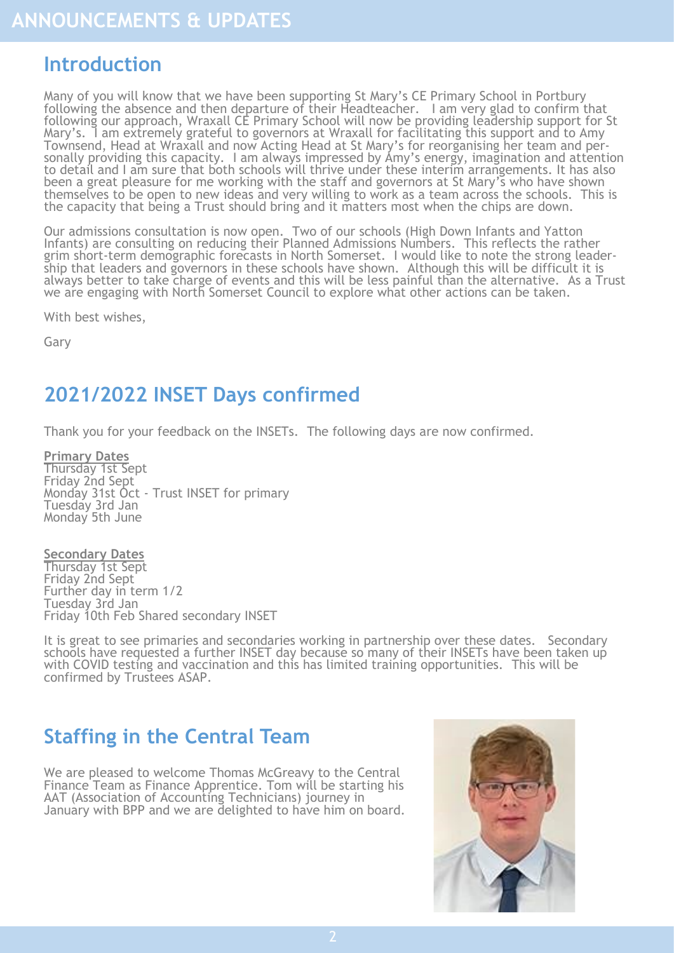#### <span id="page-1-0"></span>**Introduction**

Many of you will know that we have been supporting St Mary's CE Primary School in Portbury following the absence and then departure of their Headteacher. I am very glad to confirm that following our approach, Wraxall CE Primary School will now be providing leadership support for St Mary's. I am extremely grateful to governors at Wraxall for facilitating this support and to Amy Townsend, Head at Wraxall and now Acting Head at St Mary's for reorganising her team and personally providing this capacity. I am always impressed by Amy's energy, imagination and attention to detail and I am sure that both schools will thrive under these interim arrangements. It has also been a great pleasure for me working with the staff and governors at St Mary's who have shown themselves to be open to new ideas and very willing to work as a team across the schools. This is the capacity that being a Trust should bring and it matters most when the chips are down.

Our admissions consultation is now open. Two of our schools (High Down Infants and Yatton Infants) are consulting on reducing their Planned Admissions Numbers. This reflects the rather grim short-term demographic forecasts in North Somerset. I would like to note the strong leadership that leaders and governors in these schools have shown. Although this will be difficult it is always better to take charge of events and this will be less painful than the alternative. As a Trust we are engaging with North Somerset Council to explore what other actions can be taken.

With best wishes,

Gary

#### **2021/2022 INSET Days confirmed**

Thank you for your feedback on the INSETs. The following days are now confirmed.

**Primary Dates** Thursday 1st Sept Friday 2nd Sept Monday 31st Oct - Trust INSET for primary Tuesday 3rd Jan Monday 5th June

**Secondary Dates**

Thursday 1st Sept Friday 2nd Sept Further day in term 1/2 Tuesday 3rd Jan Friday 10th Feb Shared secondary INSET

It is great to see primaries and secondaries working in partnership over these dates. Secondary schools have requested a further INSET day because so many of their INSETs have been taken up with COVID testing and vaccination and this has limited training opportunities. This will be confirmed by Trustees ASAP.

## **Staffing in the Central Team**

We are pleased to welcome Thomas McGreavy to the Central Finance Team as Finance Apprentice. Tom will be starting his AAT (Association of Accounting Technicians) journey in January with BPP and we are delighted to have him on board.

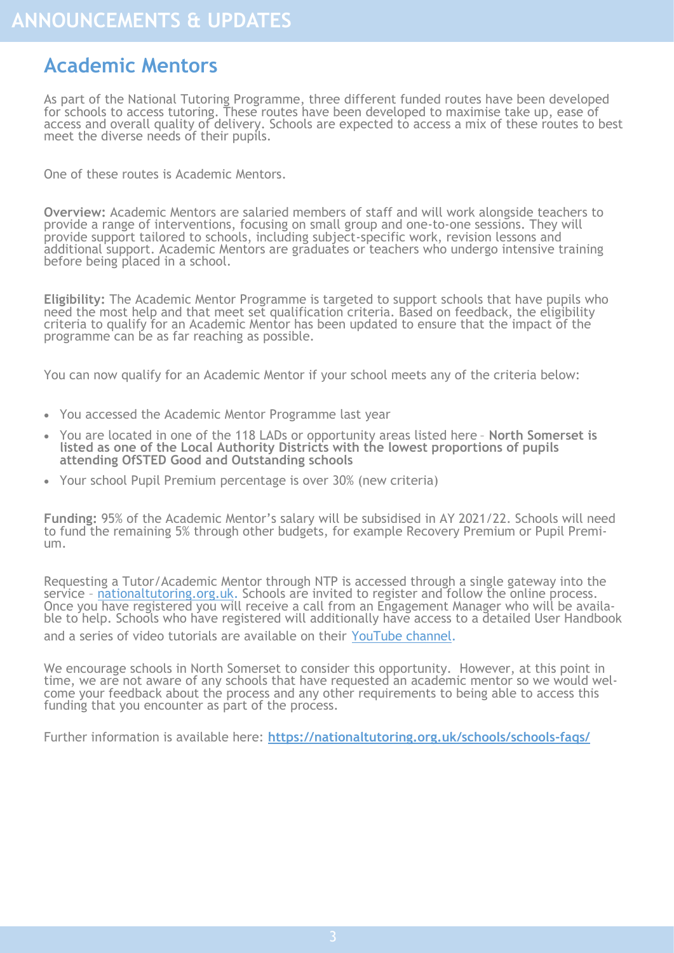#### <span id="page-2-0"></span>**Academic Mentors**

As part of the National Tutoring Programme, three different funded routes have been developed for schools to access tutoring. These routes have been developed to maximise take up, ease of access and overall quality of delivery. Schools are expected to access a mix of these routes to best meet the diverse needs of their pupils.

One of these routes is Academic Mentors.

**Overview:** Academic Mentors are salaried members of staff and will work alongside teachers to provide a range of interventions, focusing on small group and one-to-one sessions. They will provide support tailored to schools, including subject-specific work, revision lessons and additional support. Academic Mentors are graduates or teachers who undergo intensive training before being placed in a school.

**Eligibility:** The Academic Mentor Programme is targeted to support schools that have pupils who need the most help and that meet set qualification criteria. Based on feedback, the eligibility criteria to qualify for an Academic Mentor has been updated to ensure that the impact of the programme can be as far reaching as possible.

You can now qualify for an Academic Mentor if your school meets any of the criteria below:

- You accessed the Academic Mentor Programme last year
- You are located in one of the 118 LADs or opportunity areas listed here **North Somerset is listed as one of the Local Authority Districts with the lowest proportions of pupils attending OfSTED Good and Outstanding schools**
- Your school Pupil Premium percentage is over 30% (new criteria)

**Funding:** 95% of the Academic Mentor's salary will be subsidised in AY 2021/22. Schools will need to fund the remaining 5% through other budgets, for example Recovery Premium or Pupil Premium.

Requesting a Tutor/Academic Mentor through NTP is accessed through a single gateway into the service – [nationaltutoring.org.uk.](http://nationaltutoring.org.uk/) Schools are invited to register and follow the online process. Once you have registered you will receive a call from an Engagement Manager who will be available to help. Schools who have registered will additionally have access to a detailed User Handbook

and a series of video tutorials are available on their [YouTube channel.](https://www.youtube.com/channel/UC8k1uwYQEy4sLbO_3gCW4Ug)

We encourage schools in North Somerset to consider this opportunity. However, at this point in time, we are not aware of any schools that have requested an academic mentor so we would welcome your feedback about the process and any other requirements to being able to access this funding that you encounter as part of the process.

Further information is available here: **[https://nationaltutoring.org.uk/schools/schools](https://nationaltutoring.org.uk/schools/schools-faqs/)-faqs/**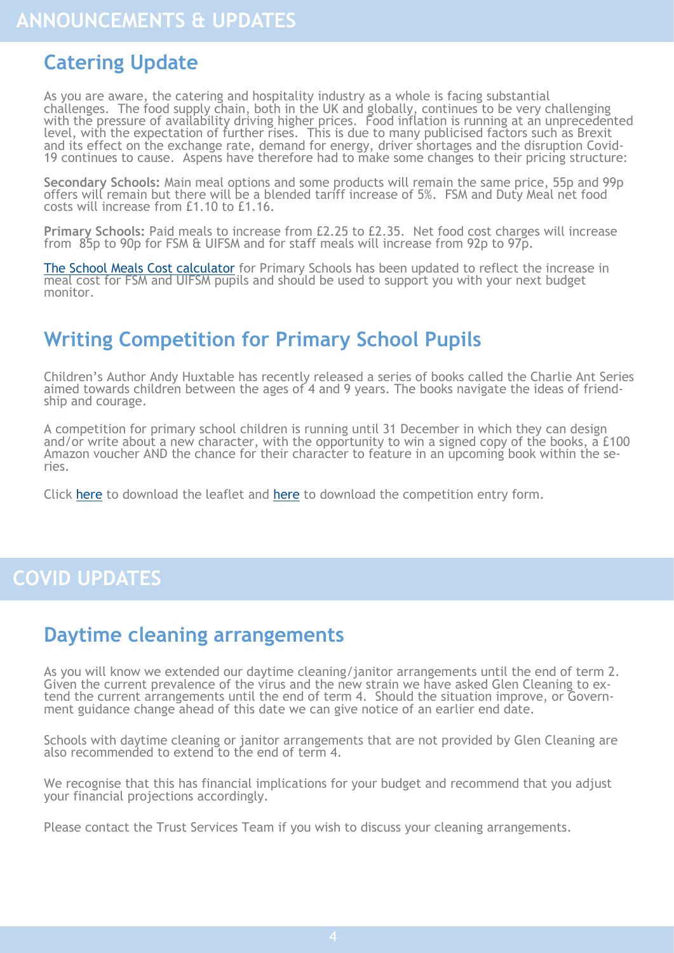#### <span id="page-3-0"></span>**Catering Update**

As you are aware, the catering and hospitality industry as a whole is facing substantial challenges. The food supply chain, both in the UK and globally, continues to be very challenging with the pressure of availability driving higher prices. Food inflation is running at an unprecedented level, with the expectation of further rises. This is due to many publicised factors such as Brexit and its effect on the exchange rate, demand for energy, driver shortages and the disruption Covid-19 continues to cause. Aspens have therefore had to make some changes to their pricing structure:

**Secondary Schools:** Main meal options and some products will remain the same price, 55p and 99p offers will remain but there will be a blended tariff increase of 5%. FSM and Duty Meal net food costs will increase from £1.10 to £1.16.

**Primary Schools:** Paid meals to increase from £2.25 to £2.35. Net food cost charges will increase from 85p to 90p for FSM & UIFSM and for staff meals will increase from 92p to 97p.

[The School Meals Cost](https://foldr.lsp.org.uk/public/ND0BW) calculator for Primary Schools has been updated to reflect the increase in meal cost for FSM and UIFSM pupils and should be used to support you with your next budget monitor.

### **Writing Competition for Primary School Pupils**

Children's Author Andy Huxtable has recently released a series of books called the Charlie Ant Series aimed towards children between the ages of 4 and 9 years. The books navigate the ideas of friendship and courage.

A competition for primary school children is running until 31 December in which they can design and/or write about a new character, with the opportunity to win a signed copy of the books, a £100 Amazon voucher AND the chance for their character to feature in an upcoming book within the series.

Click [here](https://foldr.lsp.org.uk/public/NBLEW) to download the leaflet and [here](https://foldr.lsp.org.uk/public/W3KDW) to download the competition entry form.

#### **COVID UPDATES**

#### **Daytime cleaning arrangements**

As you will know we extended our daytime cleaning/janitor arrangements until the end of term 2. Given the current prevalence of the virus and the new strain we have asked Glen Cleaning to extend the current arrangements until the end of term 4. Should the situation improve, or Government guidance change ahead of this date we can give notice of an earlier end date.

Schools with daytime cleaning or janitor arrangements that are not provided by Glen Cleaning are also recommended to extend to the end of term 4.

We recognise that this has financial implications for your budget and recommend that you adjust your financial projections accordingly.

Please contact the Trust Services Team if you wish to discuss your cleaning arrangements.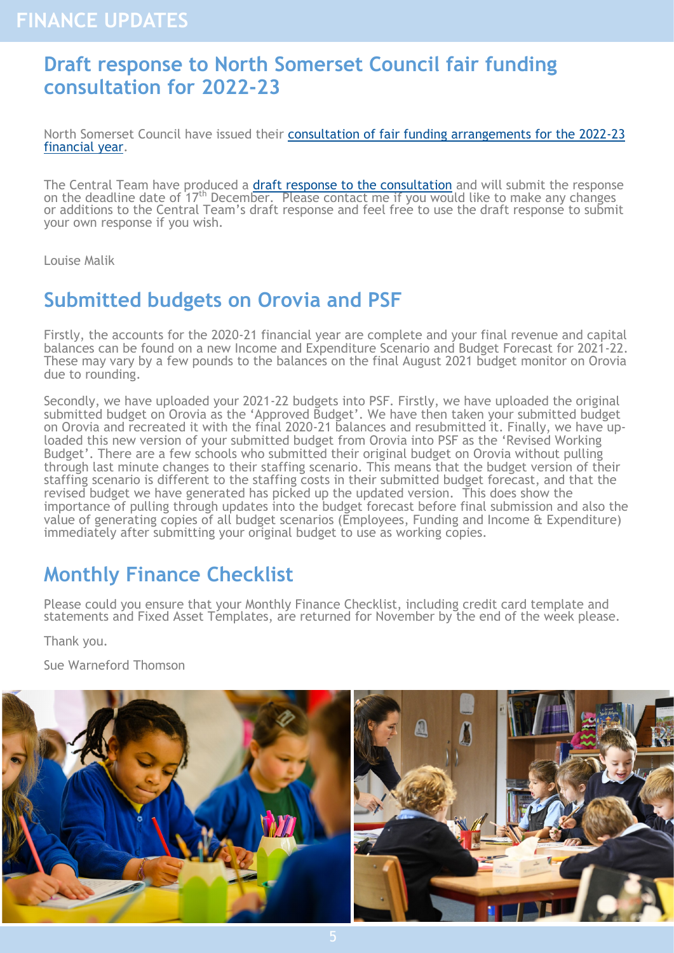#### <span id="page-4-0"></span>**Draft response to North Somerset Council fair funding consultation for 2022-23**

North Somerset Council have issued their [consultation of fair funding arrangements for the 2022](https://n-somerset.inconsult.uk/SchoolsFunding2022_2023/consultationHome)-23 [financial year.](https://n-somerset.inconsult.uk/SchoolsFunding2022_2023/consultationHome)

The Central Team have produced a *draft response to the consultation* and will submit the response on the deadline date of 17<sup>th</sup> December. Please contact me if you would like to make any changes or additions to the Central Team's draft response and feel free to use the draft response to submit your own response if you wish.

Louise Malik

#### **Submitted budgets on Orovia and PSF**

Firstly, the accounts for the 2020-21 financial year are complete and your final revenue and capital balances can be found on a new Income and Expenditure Scenario and Budget Forecast for 2021-22. These may vary by a few pounds to the balances on the final August 2021 budget monitor on Orovia due to rounding.

Secondly, we have uploaded your 2021-22 budgets into PSF. Firstly, we have uploaded the original submitted budget on Orovia as the 'Approved Budget'. We have then taken your submitted budget on Orovia and recreated it with the final 2020-21 balances and resubmitted it. Finally, we have uploaded this new version of your submitted budget from Orovia into PSF as the 'Revised Working Budget'. There are a few schools who submitted their original budget on Orovia without pulling through last minute changes to their staffing scenario. This means that the budget version of their staffing scenario is different to the staffing costs in their submitted budget forecast, and that the revised budget we have generated has picked up the updated version. This does show the importance of pulling through updates into the budget forecast before final submission and also the value of generating copies of all budget scenarios (Employees, Funding and Income & Expenditure) immediately after submitting your original budget to use as working copies.

#### **Monthly Finance Checklist**

Please could you ensure that your Monthly Finance Checklist, including credit card template and statements and Fixed Asset Templates, are returned for November by the end of the week please.

Thank you.

Sue Warneford Thomson